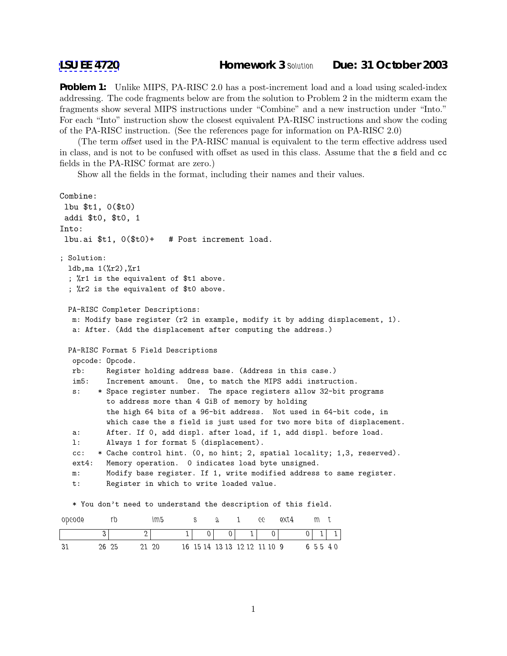**Problem 1:** Unlike MIPS, PA-RISC 2.0 has a post-increment load and a load using scaled-index addressing. The code fragments below are from the solution to Problem 2 in the midterm exam the fragments show several MIPS instructions under "Combine" and a new instruction under "Into." For each "Into" instruction show the closest equivalent PA-RISC instructions and show the coding of the PA-RISC instruction. (See the references page for information on PA-RISC 2.0)

(The term offset used in the PA-RISC manual is equivalent to the term effective address used in class, and is not to be confused with offset as used in this class. Assume that the s field and cc fields in the PA-RISC format are zero.)

Show all the fields in the format, including their names and their values.

```
Combine:
 lbu $t1, 0($t0)
 addi $t0, $t0, 1
Into:
 lbu.ai $t1, 0($t0)+ # Post increment load.
; Solution:
 ldb,ma 1(%r2),%r1
 ; %r1 is the equivalent of $t1 above.
  ; %r2 is the equivalent of $t0 above.
 PA-RISC Completer Descriptions:
  m: Modify base register (r2 in example, modify it by adding displacement, 1).
  a: After. (Add the displacement after computing the address.)
 PA-RISC Format 5 Field Descriptions
  opcode: Opcode.
  rb: Register holding address base. (Address in this case.)
  im5: Increment amount. One, to match the MIPS addi instruction.
  s: * Space register number. The space registers allow 32-bit programs
          to address more than 4 GiB of memory by holding
          the high 64 bits of a 96-bit address. Not used in 64-bit code, in
          which case the s field is just used for two more bits of displacement.
  a: After. If 0, add displ. after load, if 1, add displ. before load.
  l: Always 1 for format 5 (displacement).
  cc: * Cache control hint. (0, no hint; 2, spatial locality; 1,3, reserved).
  ext4: Memory operation. 0 indicates load byte unsigned.
  m: Modify base register. If 1, write modified address to same register.
  t: Register in which to write loaded value.
  * You don't need to understand the description of this field.
```

| opcode |       | m5           |  |                              | 66 | $\alpha x_4$ |   |           |
|--------|-------|--------------|--|------------------------------|----|--------------|---|-----------|
|        |       |              |  |                              |    |              | ۰ |           |
|        | 26 25 | $20^{\circ}$ |  | 16 15 14 13 13 12 12 11 10 9 |    |              |   | 6 5 5 4 0 |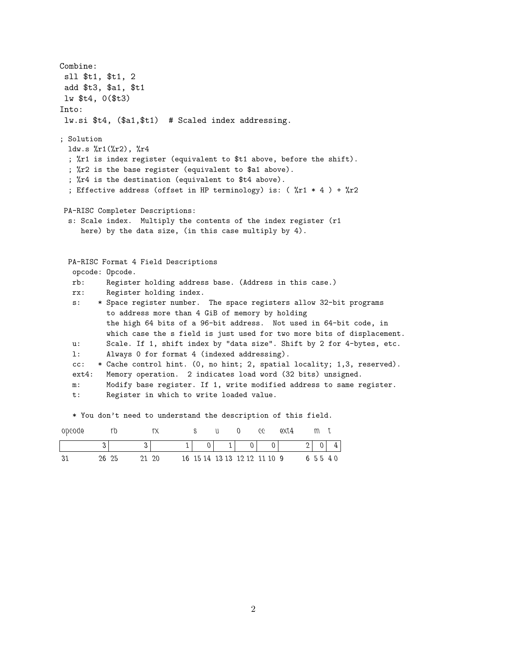Combine: sll \$t1, \$t1, 2 add \$t3, \$a1, \$t1 lw \$t4, 0(\$t3) Into: lw.si \$t4, (\$a1,\$t1) # Scaled index addressing. ; Solution ldw.s %r1(%r2), %r4 ; %r1 is index register (equivalent to \$t1 above, before the shift). ; %r2 is the base register (equivalent to \$a1 above). ; %r4 is the destination (equivalent to \$t4 above). ; Effective address (offset in HP terminology) is: (  $\chi$ r1 \* 4 ) +  $\chi$ r2 PA-RISC Completer Descriptions: s: Scale index. Multiply the contents of the index register (r1 here) by the data size, (in this case multiply by 4). PA-RISC Format 4 Field Descriptions opcode: Opcode. rb: Register holding address base. (Address in this case.) rx: Register holding index. s: \* Space register number. The space registers allow 32-bit programs to address more than 4 GiB of memory by holding the high 64 bits of a 96-bit address. Not used in 64-bit code, in which case the s field is just used for two more bits of displacement. u: Scale. If 1, shift index by "data size". Shift by 2 for 4-bytes, etc. l: Always 0 for format 4 (indexed addressing). cc: \* Cache control hint. (0, no hint; 2, spatial locality; 1,3, reserved). ext4: Memory operation. 2 indicates load word (32 bits) unsigned. m: Modify base register. If 1, write modified address to same register. t: Register in which to write loaded value.

|  | opcode rb rx suo ceext4 m <mark>t</mark> |  |  |  |  |
|--|------------------------------------------|--|--|--|--|

\* You don't need to understand the description of this field.

|  | 26 25 | $20 - 20$ |  | 16 15 14 13 13 12 12 11 10 9 |  | 65540 |  |
|--|-------|-----------|--|------------------------------|--|-------|--|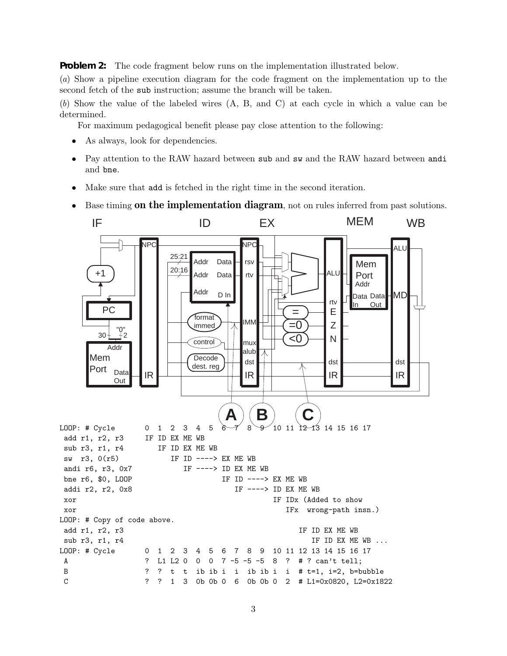**Problem 2:** The code fragment below runs on the implementation illustrated below.

(*a*) Show a pipeline execution diagram for the code fragment on the implementation up to the second fetch of the sub instruction; assume the branch will be taken.

(*b*) Show the value of the labeled wires (A, B, and C) at each cycle in which a value can be determined.

For maximum pedagogical benefit please pay close attention to the following:

- As always, look for dependencies.
- Pay attention to the RAW hazard between sub and sw and the RAW hazard between andi and bne.
- Make sure that add is fetched in the right time in the second iteration.
- Base timing **on the implementation diagram**, not on rules inferred from past solutions.